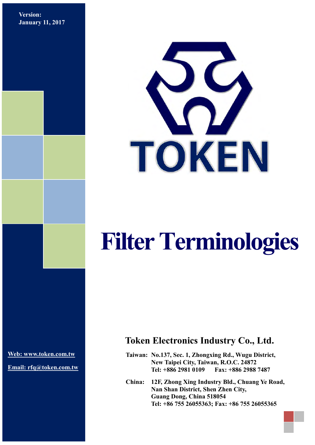**Version: January 11, 2017**



# **Filter Terminologies**

**[Web: www.token.com.tw](http://www.token.com.tw/)**

**Email: rfq@token.com.tw**

## **Token Electronics Industry Co., Ltd.**

**Taiwan: No.137, Sec. 1, Zhongxing Rd., Wugu District, New Taipei City, Taiwan, R.O.C. 24872 Tel: +886 2981 0109 Fax: +886 2988 7487**

**China: 12F, Zhong Xing Industry Bld., Chuang Ye Road, Nan Shan District, Shen Zhen City, Guang Dong, China 518054 Tel: +86 755 26055363; Fax: +86 755 26055365**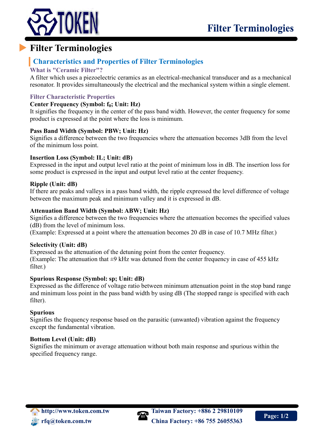

## **Filter Terminologies**

### **Characteristics and Properties of Filter Terminologies**

#### **What is "Ceramic Filter"?**

A filter which uses a piezoelectric ceramics as an electrical-mechanical transducer and as a mechanical resonator. It provides simultaneously the electrical and the mechanical system within a single element.

#### **Filter Characteristic Properties**

#### **Center Frequency (Symbol: f0; Unit: Hz)**

It signifies the frequency in the center of the pass band width. However, the center frequency for some product is expressed at the point where the loss is minimum.

#### **Pass Band Width (Symbol: PBW; Unit: Hz)**

Signifies a difference between the two frequencies where the attenuation becomes 3dB from the level of the minimum loss point.

#### **Insertion Loss (Symbol: IL; Unit: dB)**

Expressed in the input and output level ratio at the point of minimum loss in dB. The insertion loss for some product is expressed in the input and output level ratio at the center frequency.

#### **Ripple (Unit: dB)**

If there are peaks and valleys in a pass band width, the ripple expressed the level difference of voltage between the maximum peak and minimum valley and it is expressed in dB.

#### **Attenuation Band Width (Symbol: ABW; Unit: Hz)**

Signifies a difference between the two frequencies where the attenuation becomes the specified values (dB) from the level of minimum loss.

(Example: Expressed at a point where the attenuation becomes 20 dB in case of 10.7 MHz filter.)

#### **Selectivity (Unit: dB)**

Expressed as the attenuation of the detuning point from the center frequency. (Example: The attenuation that  $\pm 9$  kHz was detuned from the center frequency in case of 455 kHz filter.)

#### **Spurious Response (Symbol: sp; Unit: dB)**

Expressed as the difference of voltage ratio between minimum attenuation point in the stop band range and minimum loss point in the pass band width by using dB (The stopped range is specified with each filter).

#### **Spurious**

Signifies the frequency response based on the parasitic (unwanted) vibration against the frequency except the fundamental vibration.

#### **Bottom Level (Unit: dB)**

Signifies the minimum or average attenuation without both main response and spurious within the specified frequency range.